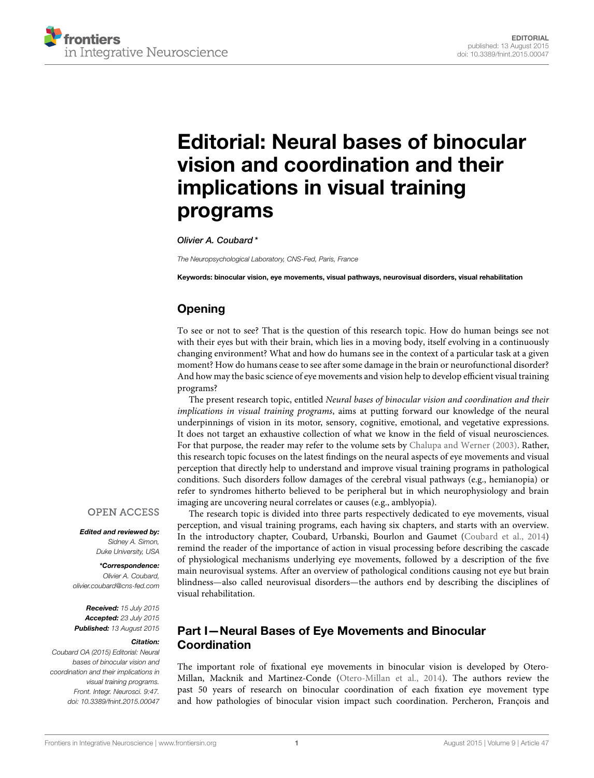

# [Editorial: Neural bases of binocular](http://journal.frontiersin.org/article/10.3389/fnint.2015.00047/full) vision and coordination and their implications in visual training programs

[Olivier A. Coubard\\*](http://loop.frontiersin.org/people/30028/overview)

*The Neuropsychological Laboratory, CNS-Fed, Paris, France*

Keywords: binocular vision, eye movements, visual pathways, neurovisual disorders, visual rehabilitation

# Opening

To see or not to see? That is the question of this research topic. How do human beings see not with their eyes but with their brain, which lies in a moving body, itself evolving in a continuously changing environment? What and how do humans see in the context of a particular task at a given moment? How do humans cease to see after some damage in the brain or neurofunctional disorder? And how may the basic science of eye movements and vision help to develop efficient visual training programs?

The present research topic, entitled Neural bases of binocular vision and coordination and their implications in visual training programs, aims at putting forward our knowledge of the neural underpinnings of vision in its motor, sensory, cognitive, emotional, and vegetative expressions. It does not target an exhaustive collection of what we know in the field of visual neurosciences. For that purpose, the reader may refer to the volume sets by [Chalupa and Werner \(2003\)](#page-2-0). Rather, this research topic focuses on the latest findings on the neural aspects of eye movements and visual perception that directly help to understand and improve visual training programs in pathological conditions. Such disorders follow damages of the cerebral visual pathways (e.g., hemianopia) or refer to syndromes hitherto believed to be peripheral but in which neurophysiology and brain imaging are uncovering neural correlates or causes (e.g., amblyopia).

# **OPEN ACCESS**

Edited and reviewed by: *Sidney A. Simon, Duke University, USA*

\*Correspondence: *Olivier A. Coubard, [olivier.coubard@cns-fed.com](mailto:olivier.coubard@cns-fed.com)*

Received: *15 July 2015* Accepted: *23 July 2015* Published: *13 August 2015*

#### Citation:

*Coubard OA (2015) Editorial: Neural bases of binocular vision and coordination and their implications in visual training programs. Front. Integr. Neurosci. 9:47. doi: [10.3389/fnint.2015.00047](http://dx.doi.org/10.3389/fnint.2015.00047)*

The research topic is divided into three parts respectively dedicated to eye movements, visual perception, and visual training programs, each having six chapters, and starts with an overview. In the introductory chapter, Coubard, Urbanski, Bourlon and Gaumet [\(Coubard et al., 2014\)](#page-2-1) remind the reader of the importance of action in visual processing before describing the cascade of physiological mechanisms underlying eye movements, followed by a description of the five main neurovisual systems. After an overview of pathological conditions causing not eye but brain blindness—also called neurovisual disorders—the authors end by describing the disciplines of visual rehabilitation.

#### Part I—Neural Bases of Eye Movements and Binocular Coordination

The important role of fixational eye movements in binocular vision is developed by Otero-Millan, Macknik and Martinez-Conde [\(Otero-Millan et al., 2014\)](#page-2-2). The authors review the past 50 years of research on binocular coordination of each fixation eye movement type and how pathologies of binocular vision impact such coordination. Percheron, François and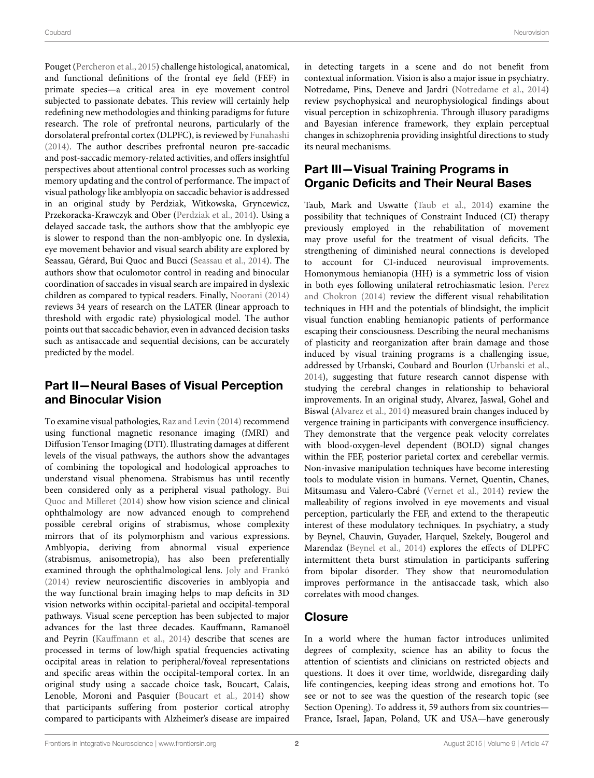Pouget [\(Percheron et al., 2015\)](#page-2-3) challenge histological, anatomical, and functional definitions of the frontal eye field (FEF) in primate species—a critical area in eye movement control subjected to passionate debates. This review will certainly help redefining new methodologies and thinking paradigms for future research. The role of prefrontal neurons, particularly of the dorsolateral prefrontal cortex (DLPFC), is reviewed by [Funahashi](#page-2-4) [\(2014\)](#page-2-4). The author describes prefrontal neuron pre-saccadic and post-saccadic memory-related activities, and offers insightful perspectives about attentional control processes such as working memory updating and the control of performance. The impact of visual pathology like amblyopia on saccadic behavior is addressed in an original study by Perdziak, Witkowska, Gryncewicz, Przekoracka-Krawczyk and Ober [\(Perdziak et al., 2014\)](#page-2-5). Using a delayed saccade task, the authors show that the amblyopic eye is slower to respond than the non-amblyopic one. In dyslexia, eye movement behavior and visual search ability are explored by Seassau, Gérard, Bui Quoc and Bucci [\(Seassau et al., 2014\)](#page-2-6). The authors show that oculomotor control in reading and binocular coordination of saccades in visual search are impaired in dyslexic children as compared to typical readers. Finally, [Noorani \(2014\)](#page-2-7) reviews 34 years of research on the LATER (linear approach to threshold with ergodic rate) physiological model. The author points out that saccadic behavior, even in advanced decision tasks such as antisaccade and sequential decisions, can be accurately predicted by the model.

## Part II—Neural Bases of Visual Perception and Binocular Vision

To examine visual pathologies, [Raz and Levin \(2014\)](#page-2-8) recommend using functional magnetic resonance imaging (fMRI) and Diffusion Tensor Imaging (DTI). Illustrating damages at different levels of the visual pathways, the authors show the advantages of combining the topological and hodological approaches to understand visual phenomena. Strabismus has until recently been considered only as a peripheral visual pathology. Bui Quoc and Milleret [\(2014\)](#page-2-9) show how vision science and clinical ophthalmology are now advanced enough to comprehend possible cerebral origins of strabismus, whose complexity mirrors that of its polymorphism and various expressions. Amblyopia, deriving from abnormal visual experience (strabismus, anisometropia), has also been preferentially examined through the ophthalmological lens. [Joly and Frankó](#page-2-10) [\(2014\)](#page-2-10) review neuroscientific discoveries in amblyopia and the way functional brain imaging helps to map deficits in 3D vision networks within occipital-parietal and occipital-temporal pathways. Visual scene perception has been subjected to major advances for the last three decades. Kauffmann, Ramanoël and Peyrin [\(Kauffmann et al., 2014\)](#page-2-11) describe that scenes are processed in terms of low/high spatial frequencies activating occipital areas in relation to peripheral/foveal representations and specific areas within the occipital-temporal cortex. In an original study using a saccade choice task, Boucart, Calais, Lenoble, Moroni and Pasquier [\(Boucart et al., 2014\)](#page-2-12) show that participants suffering from posterior cortical atrophy compared to participants with Alzheimer's disease are impaired in detecting targets in a scene and do not benefit from contextual information. Vision is also a major issue in psychiatry. Notredame, Pins, Deneve and Jardri [\(Notredame et al., 2014\)](#page-2-13) review psychophysical and neurophysiological findings about visual perception in schizophrenia. Through illusory paradigms and Bayesian inference framework, they explain perceptual changes in schizophrenia providing insightful directions to study its neural mechanisms.

# Part III—Visual Training Programs in Organic Deficits and Their Neural Bases

Taub, Mark and Uswatte [\(Taub et al., 2014\)](#page-2-14) examine the possibility that techniques of Constraint Induced (CI) therapy previously employed in the rehabilitation of movement may prove useful for the treatment of visual deficits. The strengthening of diminished neural connections is developed to account for CI-induced neurovisual improvements. Homonymous hemianopia (HH) is a symmetric loss of vision in both eyes following unilateral retrochiasmatic lesion. Perez and Chokron [\(2014\)](#page-2-15) review the different visual rehabilitation techniques in HH and the potentials of blindsight, the implicit visual function enabling hemianopic patients of performance escaping their consciousness. Describing the neural mechanisms of plasticity and reorganization after brain damage and those induced by visual training programs is a challenging issue, addressed by Urbanski, Coubard and Bourlon [\(Urbanski et al.,](#page-2-16) [2014\)](#page-2-16), suggesting that future research cannot dispense with studying the cerebral changes in relationship to behavioral improvements. In an original study, Alvarez, Jaswal, Gohel and Biswal [\(Alvarez et al., 2014\)](#page-2-17) measured brain changes induced by vergence training in participants with convergence insufficiency. They demonstrate that the vergence peak velocity correlates with blood-oxygen-level dependent (BOLD) signal changes within the FEF, posterior parietal cortex and cerebellar vermis. Non-invasive manipulation techniques have become interesting tools to modulate vision in humans. Vernet, Quentin, Chanes, Mitsumasu and Valero-Cabré [\(Vernet et al., 2014\)](#page-2-18) review the malleability of regions involved in eye movements and visual perception, particularly the FEF, and extend to the therapeutic interest of these modulatory techniques. In psychiatry, a study by Beynel, Chauvin, Guyader, Harquel, Szekely, Bougerol and Marendaz [\(Beynel et al., 2014\)](#page-2-19) explores the effects of DLPFC intermittent theta burst stimulation in participants suffering from bipolar disorder. They show that neuromodulation improves performance in the antisaccade task, which also correlates with mood changes.

#### **Closure**

In a world where the human factor introduces unlimited degrees of complexity, science has an ability to focus the attention of scientists and clinicians on restricted objects and questions. It does it over time, worldwide, disregarding daily life contingencies, keeping ideas strong and emotions hot. To see or not to see was the question of the research topic (see Section Opening). To address it, 59 authors from six countries— France, Israel, Japan, Poland, UK and USA—have generously